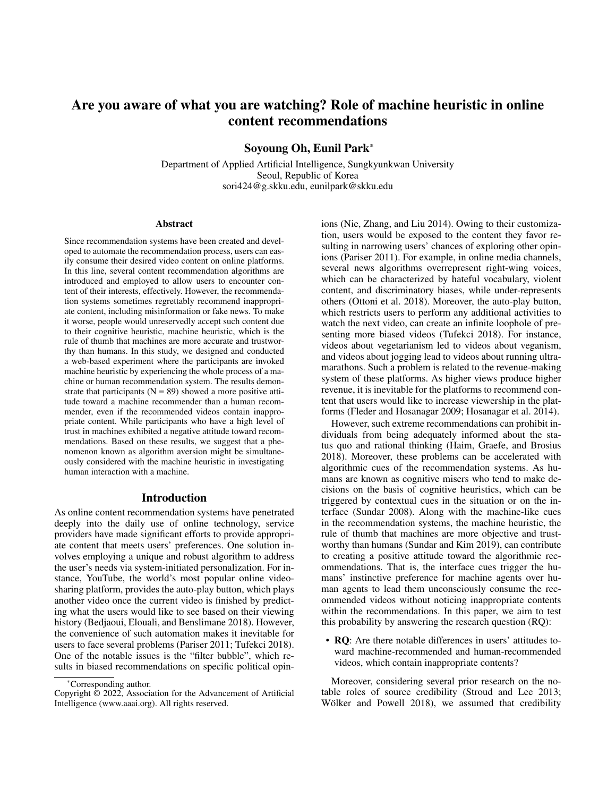# Are you aware of what you are watching? Role of machine heuristic in online content recommendations

Soyoung Oh, Eunil Park\*

Department of Applied Artificial Intelligence, Sungkyunkwan University Seoul, Republic of Korea sori424@g.skku.edu, eunilpark@skku.edu

#### Abstract

Since recommendation systems have been created and developed to automate the recommendation process, users can easily consume their desired video content on online platforms. In this line, several content recommendation algorithms are introduced and employed to allow users to encounter content of their interests, effectively. However, the recommendation systems sometimes regrettably recommend inappropriate content, including misinformation or fake news. To make it worse, people would unreservedly accept such content due to their cognitive heuristic, machine heuristic, which is the rule of thumb that machines are more accurate and trustworthy than humans. In this study, we designed and conducted a web-based experiment where the participants are invoked machine heuristic by experiencing the whole process of a machine or human recommendation system. The results demonstrate that participants  $(N = 89)$  showed a more positive attitude toward a machine recommender than a human recommender, even if the recommended videos contain inappropriate content. While participants who have a high level of trust in machines exhibited a negative attitude toward recommendations. Based on these results, we suggest that a phenomenon known as algorithm aversion might be simultaneously considered with the machine heuristic in investigating human interaction with a machine.

# Introduction

As online content recommendation systems have penetrated deeply into the daily use of online technology, service providers have made significant efforts to provide appropriate content that meets users' preferences. One solution involves employing a unique and robust algorithm to address the user's needs via system-initiated personalization. For instance, YouTube, the world's most popular online videosharing platform, provides the auto-play button, which plays another video once the current video is finished by predicting what the users would like to see based on their viewing history (Bedjaoui, Elouali, and Benslimane 2018). However, the convenience of such automation makes it inevitable for users to face several problems (Pariser 2011; Tufekci 2018). One of the notable issues is the "filter bubble", which results in biased recommendations on specific political opinions (Nie, Zhang, and Liu 2014). Owing to their customization, users would be exposed to the content they favor resulting in narrowing users' chances of exploring other opinions (Pariser 2011). For example, in online media channels, several news algorithms overrepresent right-wing voices, which can be characterized by hateful vocabulary, violent content, and discriminatory biases, while under-represents others (Ottoni et al. 2018). Moreover, the auto-play button, which restricts users to perform any additional activities to watch the next video, can create an infinite loophole of presenting more biased videos (Tufekci 2018). For instance, videos about vegetarianism led to videos about veganism, and videos about jogging lead to videos about running ultramarathons. Such a problem is related to the revenue-making system of these platforms. As higher views produce higher revenue, it is inevitable for the platforms to recommend content that users would like to increase viewership in the platforms (Fleder and Hosanagar 2009; Hosanagar et al. 2014).

However, such extreme recommendations can prohibit individuals from being adequately informed about the status quo and rational thinking (Haim, Graefe, and Brosius 2018). Moreover, these problems can be accelerated with algorithmic cues of the recommendation systems. As humans are known as cognitive misers who tend to make decisions on the basis of cognitive heuristics, which can be triggered by contextual cues in the situation or on the interface (Sundar 2008). Along with the machine-like cues in the recommendation systems, the machine heuristic, the rule of thumb that machines are more objective and trustworthy than humans (Sundar and Kim 2019), can contribute to creating a positive attitude toward the algorithmic recommendations. That is, the interface cues trigger the humans' instinctive preference for machine agents over human agents to lead them unconsciously consume the recommended videos without noticing inappropriate contents within the recommendations. In this paper, we aim to test this probability by answering the research question (RQ):

• RQ: Are there notable differences in users' attitudes toward machine-recommended and human-recommended videos, which contain inappropriate contents?

Moreover, considering several prior research on the notable roles of source credibility (Stroud and Lee 2013; Wölker and Powell 2018), we assumed that credibility

<sup>\*</sup>Corresponding author.

Copyright © 2022, Association for the Advancement of Artificial Intelligence (www.aaai.org). All rights reserved.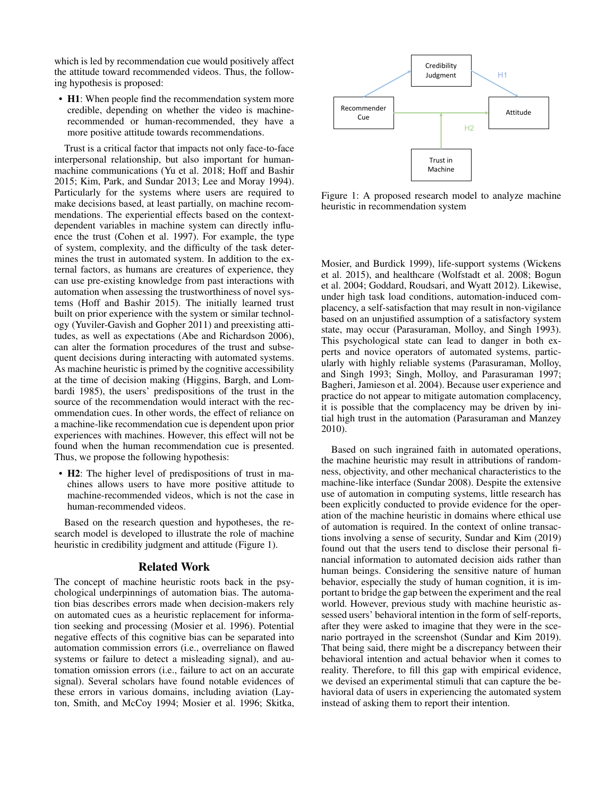which is led by recommendation cue would positively affect the attitude toward recommended videos. Thus, the following hypothesis is proposed:

• H1: When people find the recommendation system more credible, depending on whether the video is machinerecommended or human-recommended, they have a more positive attitude towards recommendations.

Trust is a critical factor that impacts not only face-to-face interpersonal relationship, but also important for humanmachine communications (Yu et al. 2018; Hoff and Bashir 2015; Kim, Park, and Sundar 2013; Lee and Moray 1994). Particularly for the systems where users are required to make decisions based, at least partially, on machine recommendations. The experiential effects based on the contextdependent variables in machine system can directly influence the trust (Cohen et al. 1997). For example, the type of system, complexity, and the difficulty of the task determines the trust in automated system. In addition to the external factors, as humans are creatures of experience, they can use pre-existing knowledge from past interactions with automation when assessing the trustworthiness of novel systems (Hoff and Bashir 2015). The initially learned trust built on prior experience with the system or similar technology (Yuviler-Gavish and Gopher 2011) and preexisting attitudes, as well as expectations (Abe and Richardson 2006), can alter the formation procedures of the trust and subsequent decisions during interacting with automated systems. As machine heuristic is primed by the cognitive accessibility at the time of decision making (Higgins, Bargh, and Lombardi 1985), the users' predispositions of the trust in the source of the recommendation would interact with the recommendation cues. In other words, the effect of reliance on a machine-like recommendation cue is dependent upon prior experiences with machines. However, this effect will not be found when the human recommendation cue is presented. Thus, we propose the following hypothesis:

• **H2**: The higher level of predispositions of trust in machines allows users to have more positive attitude to machine-recommended videos, which is not the case in human-recommended videos.

Based on the research question and hypotheses, the research model is developed to illustrate the role of machine heuristic in credibility judgment and attitude (Figure 1).

#### Related Work

The concept of machine heuristic roots back in the psychological underpinnings of automation bias. The automation bias describes errors made when decision-makers rely on automated cues as a heuristic replacement for information seeking and processing (Mosier et al. 1996). Potential negative effects of this cognitive bias can be separated into automation commission errors (i.e., overreliance on flawed systems or failure to detect a misleading signal), and automation omission errors (i.e., failure to act on an accurate signal). Several scholars have found notable evidences of these errors in various domains, including aviation (Layton, Smith, and McCoy 1994; Mosier et al. 1996; Skitka,



Figure 1: A proposed research model to analyze machine heuristic in recommendation system

Mosier, and Burdick 1999), life-support systems (Wickens et al. 2015), and healthcare (Wolfstadt et al. 2008; Bogun et al. 2004; Goddard, Roudsari, and Wyatt 2012). Likewise, under high task load conditions, automation-induced complacency, a self-satisfaction that may result in non-vigilance based on an unjustified assumption of a satisfactory system state, may occur (Parasuraman, Molloy, and Singh 1993). This psychological state can lead to danger in both experts and novice operators of automated systems, particularly with highly reliable systems (Parasuraman, Molloy, and Singh 1993; Singh, Molloy, and Parasuraman 1997; Bagheri, Jamieson et al. 2004). Because user experience and practice do not appear to mitigate automation complacency, it is possible that the complacency may be driven by initial high trust in the automation (Parasuraman and Manzey 2010).

Based on such ingrained faith in automated operations, the machine heuristic may result in attributions of randomness, objectivity, and other mechanical characteristics to the machine-like interface (Sundar 2008). Despite the extensive use of automation in computing systems, little research has been explicitly conducted to provide evidence for the operation of the machine heuristic in domains where ethical use of automation is required. In the context of online transactions involving a sense of security, Sundar and Kim (2019) found out that the users tend to disclose their personal financial information to automated decision aids rather than human beings. Considering the sensitive nature of human behavior, especially the study of human cognition, it is important to bridge the gap between the experiment and the real world. However, previous study with machine heuristic assessed users' behavioral intention in the form of self-reports, after they were asked to imagine that they were in the scenario portrayed in the screenshot (Sundar and Kim 2019). That being said, there might be a discrepancy between their behavioral intention and actual behavior when it comes to reality. Therefore, to fill this gap with empirical evidence, we devised an experimental stimuli that can capture the behavioral data of users in experiencing the automated system instead of asking them to report their intention.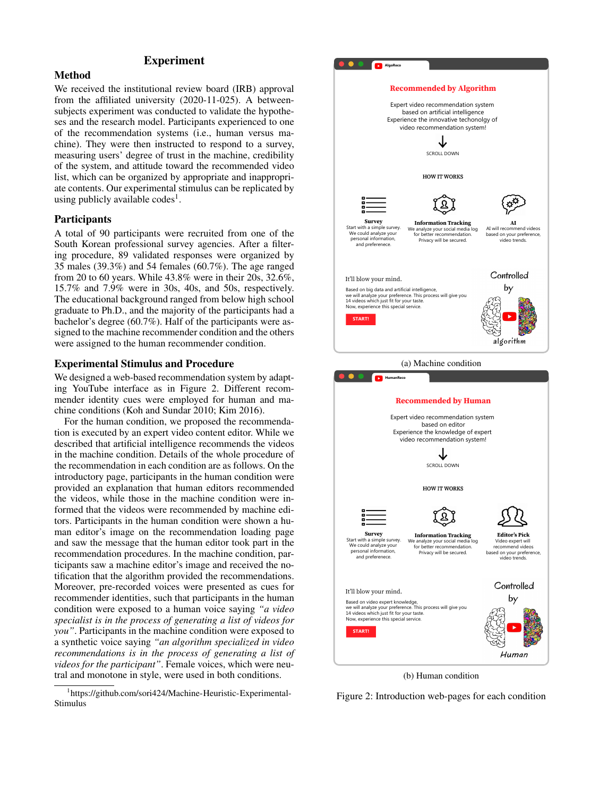# Experiment

# **Method**

We received the institutional review board (IRB) approval from the affiliated university (2020-11-025). A betweensubjects experiment was conducted to validate the hypotheses and the research model. Participants experienced to one of the recommendation systems (i.e., human versus machine). They were then instructed to respond to a survey, measuring users' degree of trust in the machine, credibility of the system, and attitude toward the recommended video list, which can be organized by appropriate and inappropriate contents. Our experimental stimulus can be replicated by using publicly available codes<sup>1</sup>.

### **Participants**

A total of 90 participants were recruited from one of the South Korean professional survey agencies. After a filtering procedure, 89 validated responses were organized by 35 males (39.3%) and 54 females (60.7%). The age ranged from 20 to 60 years. While 43.8% were in their 20s, 32.6%, 15.7% and 7.9% were in 30s, 40s, and 50s, respectively. The educational background ranged from below high school graduate to Ph.D., and the majority of the participants had a bachelor's degree (60.7%). Half of the participants were assigned to the machine recommender condition and the others were assigned to the human recommender condition.

## Experimental Stimulus and Procedure

We designed a web-based recommendation system by adapting YouTube interface as in Figure 2. Different recommender identity cues were employed for human and machine conditions (Koh and Sundar 2010; Kim 2016).

For the human condition, we proposed the recommendation is executed by an expert video content editor. While we described that artificial intelligence recommends the videos in the machine condition. Details of the whole procedure of the recommendation in each condition are as follows. On the introductory page, participants in the human condition were provided an explanation that human editors recommended the videos, while those in the machine condition were informed that the videos were recommended by machine editors. Participants in the human condition were shown a human editor's image on the recommendation loading page and saw the message that the human editor took part in the recommendation procedures. In the machine condition, participants saw a machine editor's image and received the notification that the algorithm provided the recommendations. Moreover, pre-recorded voices were presented as cues for recommender identities, such that participants in the human condition were exposed to a human voice saying *"a video specialist is in the process of generating a list of videos for you"*. Participants in the machine condition were exposed to a synthetic voice saying *"an algorithm specialized in video recommendations is in the process of generating a list of videos for the participant"*. Female voices, which were neutral and monotone in style, were used in both conditions.





(b) Human condition

Figure 2: Introduction web-pages for each condition

<sup>1</sup> https://github.com/sori424/Machine-Heuristic-Experimental-Stimulus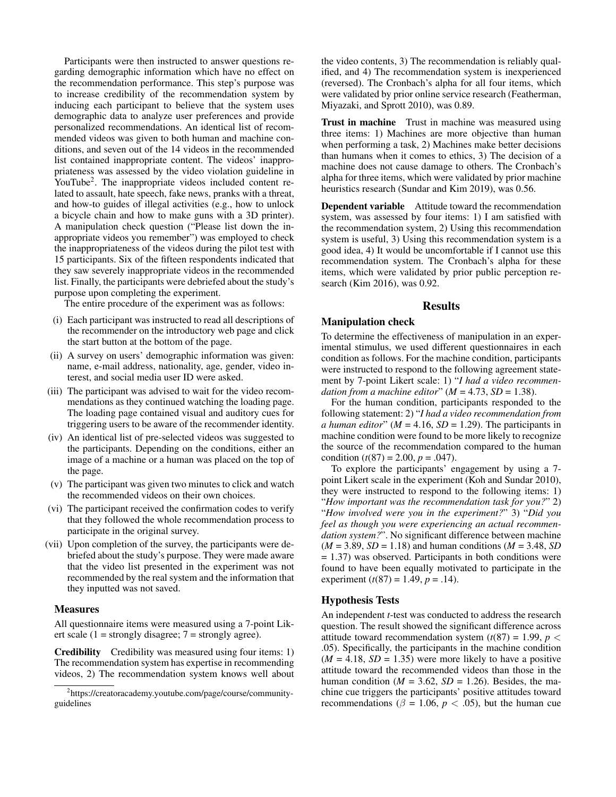Participants were then instructed to answer questions regarding demographic information which have no effect on the recommendation performance. This step's purpose was to increase credibility of the recommendation system by inducing each participant to believe that the system uses demographic data to analyze user preferences and provide personalized recommendations. An identical list of recommended videos was given to both human and machine conditions, and seven out of the 14 videos in the recommended list contained inappropriate content. The videos' inappropriateness was assessed by the video violation guideline in YouTube<sup>2</sup>. The inappropriate videos included content related to assault, hate speech, fake news, pranks with a threat, and how-to guides of illegal activities (e.g., how to unlock a bicycle chain and how to make guns with a 3D printer). A manipulation check question ("Please list down the inappropriate videos you remember") was employed to check the inappropriateness of the videos during the pilot test with 15 participants. Six of the fifteen respondents indicated that they saw severely inappropriate videos in the recommended list. Finally, the participants were debriefed about the study's purpose upon completing the experiment.

The entire procedure of the experiment was as follows:

- (i) Each participant was instructed to read all descriptions of the recommender on the introductory web page and click the start button at the bottom of the page.
- (ii) A survey on users' demographic information was given: name, e-mail address, nationality, age, gender, video interest, and social media user ID were asked.
- (iii) The participant was advised to wait for the video recommendations as they continued watching the loading page. The loading page contained visual and auditory cues for triggering users to be aware of the recommender identity.
- (iv) An identical list of pre-selected videos was suggested to the participants. Depending on the conditions, either an image of a machine or a human was placed on the top of the page.
- (v) The participant was given two minutes to click and watch the recommended videos on their own choices.
- (vi) The participant received the confirmation codes to verify that they followed the whole recommendation process to participate in the original survey.
- (vii) Upon completion of the survey, the participants were debriefed about the study's purpose. They were made aware that the video list presented in the experiment was not recommended by the real system and the information that they inputted was not saved.

#### **Measures**

All questionnaire items were measured using a 7-point Likert scale (1 = strongly disagree;  $7$  = strongly agree).

Credibility Credibility was measured using four items: 1) The recommendation system has expertise in recommending videos, 2) The recommendation system knows well about

the video contents, 3) The recommendation is reliably qualified, and 4) The recommendation system is inexperienced (reversed). The Cronbach's alpha for all four items, which were validated by prior online service research (Featherman, Miyazaki, and Sprott 2010), was 0.89.

Trust in machine Trust in machine was measured using three items: 1) Machines are more objective than human when performing a task, 2) Machines make better decisions than humans when it comes to ethics, 3) The decision of a machine does not cause damage to others. The Cronbach's alpha for three items, which were validated by prior machine heuristics research (Sundar and Kim 2019), was 0.56.

Dependent variable Attitude toward the recommendation system, was assessed by four items: 1) I am satisfied with the recommendation system, 2) Using this recommendation system is useful, 3) Using this recommendation system is a good idea, 4) It would be uncomfortable if I cannot use this recommendation system. The Cronbach's alpha for these items, which were validated by prior public perception research (Kim 2016), was 0.92.

# **Results**

### Manipulation check

To determine the effectiveness of manipulation in an experimental stimulus, we used different questionnaires in each condition as follows. For the machine condition, participants were instructed to respond to the following agreement statement by 7-point Likert scale: 1) "*I had a video recommendation from a machine editor*"  $(M = 4.73, SD = 1.38)$ .

For the human condition, participants responded to the following statement: 2) "*I had a video recommendation from a human editor*" ( $M = 4.16$ ,  $SD = 1.29$ ). The participants in machine condition were found to be more likely to recognize the source of the recommendation compared to the human condition  $(t(87) = 2.00, p = .047)$ .

To explore the participants' engagement by using a 7 point Likert scale in the experiment (Koh and Sundar 2010), they were instructed to respond to the following items: 1) "*How important was the recommendation task for you?*" 2) "*How involved were you in the experiment?*" 3) "*Did you feel as though you were experiencing an actual recommendation system?*". No significant difference between machine  $(M = 3.89, SD = 1.18)$  and human conditions  $(M = 3.48, SD)$  $= 1.37$ ) was observed. Participants in both conditions were found to have been equally motivated to participate in the experiment  $(t(87) = 1.49, p = .14)$ .

#### Hypothesis Tests

An independent *t*-test was conducted to address the research question. The result showed the significant difference across attitude toward recommendation system  $(t(87) = 1.99, p <$ .05). Specifically, the participants in the machine condition  $(M = 4.18, SD = 1.35)$  were more likely to have a positive attitude toward the recommended videos than those in the human condition ( $M = 3.62$ ,  $SD = 1.26$ ). Besides, the machine cue triggers the participants' positive attitudes toward recommendations ( $\beta$  = 1.06,  $p$  < .05), but the human cue

<sup>2</sup> https://creatoracademy.youtube.com/page/course/communityguidelines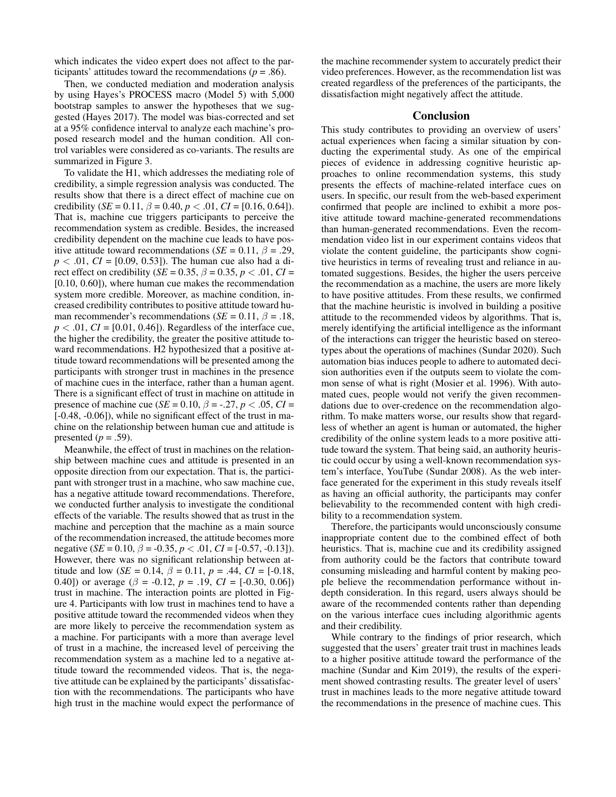which indicates the video expert does not affect to the participants' attitudes toward the recommendations ( $p = .86$ ).

Then, we conducted mediation and moderation analysis by using Hayes's PROCESS macro (Model 5) with 5,000 bootstrap samples to answer the hypotheses that we suggested (Hayes 2017). The model was bias-corrected and set at a 95% confidence interval to analyze each machine's proposed research model and the human condition. All control variables were considered as co-variants. The results are summarized in Figure 3.

To validate the H1, which addresses the mediating role of credibility, a simple regression analysis was conducted. The results show that there is a direct effect of machine cue on credibility (*SE* = 0.11,  $\beta$  = 0.40,  $p < .01$ ,  $CI = [0.16, 0.64]$ ). That is, machine cue triggers participants to perceive the recommendation system as credible. Besides, the increased credibility dependent on the machine cue leads to have positive attitude toward recommendations ( $SE = 0.11$ ,  $\beta = .29$ ,  $p < .01$ , *CI* = [0.09, 0.53]). The human cue also had a direct effect on credibility (*SE* = 0.35,  $\beta$  = 0.35, *p* < .01, *CI* = [0.10, 0.60]), where human cue makes the recommendation system more credible. Moreover, as machine condition, increased credibility contributes to positive attitude toward human recommender's recommendations ( $SE = 0.11$ ,  $\beta = .18$ ,  $p < .01$ ,  $CI = [0.01, 0.46]$ . Regardless of the interface cue, the higher the credibility, the greater the positive attitude toward recommendations. H2 hypothesized that a positive attitude toward recommendations will be presented among the participants with stronger trust in machines in the presence of machine cues in the interface, rather than a human agent. There is a significant effect of trust in machine on attitude in presence of machine cue (*SE* = 0.10,  $\beta$  = -.27, *p* < .05, *CI* = [-0.48, -0.06]), while no significant effect of the trust in machine on the relationship between human cue and attitude is presented  $(p=.59)$ .

Meanwhile, the effect of trust in machines on the relationship between machine cues and attitude is presented in an opposite direction from our expectation. That is, the participant with stronger trust in a machine, who saw machine cue, has a negative attitude toward recommendations. Therefore, we conducted further analysis to investigate the conditional effects of the variable. The results showed that as trust in the machine and perception that the machine as a main source of the recommendation increased, the attitude becomes more negative (*SE* = 0.10,  $\beta$  = -0.35,  $p < .01$ ,  $CI = [-0.57, -0.13]$ ). However, there was no significant relationship between attitude and low (*SE* = 0.14,  $\beta$  = 0.11,  $p$  = .44,  $CI = [-0.18,$ 0.40]) or average ( $\beta$  = -0.12,  $p$  = .19,  $CI = [-0.30, 0.06]$ ) trust in machine. The interaction points are plotted in Figure 4. Participants with low trust in machines tend to have a positive attitude toward the recommended videos when they are more likely to perceive the recommendation system as a machine. For participants with a more than average level of trust in a machine, the increased level of perceiving the recommendation system as a machine led to a negative attitude toward the recommended videos. That is, the negative attitude can be explained by the participants' dissatisfaction with the recommendations. The participants who have high trust in the machine would expect the performance of

the machine recommender system to accurately predict their video preferences. However, as the recommendation list was created regardless of the preferences of the participants, the dissatisfaction might negatively affect the attitude.

# **Conclusion**

This study contributes to providing an overview of users' actual experiences when facing a similar situation by conducting the experimental study. As one of the empirical pieces of evidence in addressing cognitive heuristic approaches to online recommendation systems, this study presents the effects of machine-related interface cues on users. In specific, our result from the web-based experiment confirmed that people are inclined to exhibit a more positive attitude toward machine-generated recommendations than human-generated recommendations. Even the recommendation video list in our experiment contains videos that violate the content guideline, the participants show cognitive heuristics in terms of revealing trust and reliance in automated suggestions. Besides, the higher the users perceive the recommendation as a machine, the users are more likely to have positive attitudes. From these results, we confirmed that the machine heuristic is involved in building a positive attitude to the recommended videos by algorithms. That is, merely identifying the artificial intelligence as the informant of the interactions can trigger the heuristic based on stereotypes about the operations of machines (Sundar 2020). Such automation bias induces people to adhere to automated decision authorities even if the outputs seem to violate the common sense of what is right (Mosier et al. 1996). With automated cues, people would not verify the given recommendations due to over-credence on the recommendation algorithm. To make matters worse, our results show that regardless of whether an agent is human or automated, the higher credibility of the online system leads to a more positive attitude toward the system. That being said, an authority heuristic could occur by using a well-known recommendation system's interface, YouTube (Sundar 2008). As the web interface generated for the experiment in this study reveals itself as having an official authority, the participants may confer believability to the recommended content with high credibility to a recommendation system.

Therefore, the participants would unconsciously consume inappropriate content due to the combined effect of both heuristics. That is, machine cue and its credibility assigned from authority could be the factors that contribute toward consuming misleading and harmful content by making people believe the recommendation performance without indepth consideration. In this regard, users always should be aware of the recommended contents rather than depending on the various interface cues including algorithmic agents and their credibility.

While contrary to the findings of prior research, which suggested that the users' greater trait trust in machines leads to a higher positive attitude toward the performance of the machine (Sundar and Kim 2019), the results of the experiment showed contrasting results. The greater level of users' trust in machines leads to the more negative attitude toward the recommendations in the presence of machine cues. This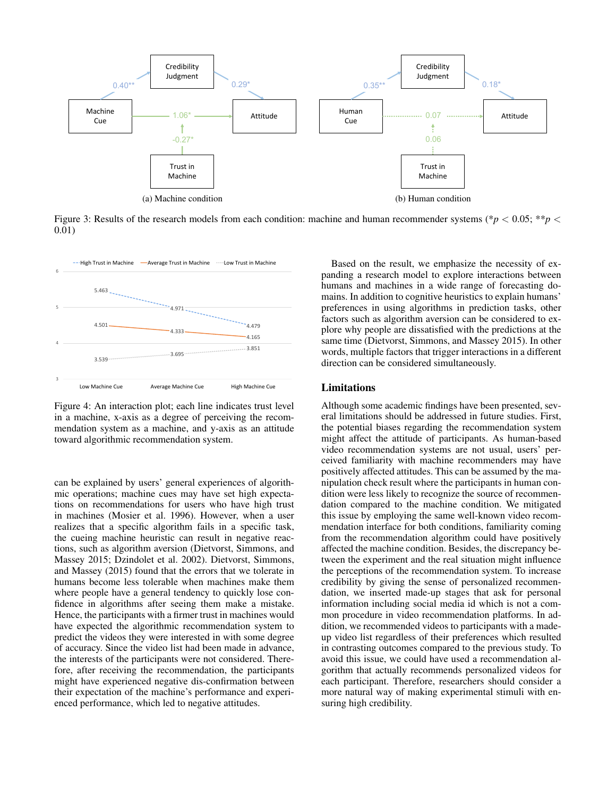

Figure 3: Results of the research models from each condition: machine and human recommender systems (\**p* < 0.05; \*\**p* < 0.01)



Figure 4: An interaction plot; each line indicates trust level in a machine, x-axis as a degree of perceiving the recommendation system as a machine, and y-axis as an attitude toward algorithmic recommendation system.

can be explained by users' general experiences of algorithmic operations; machine cues may have set high expectations on recommendations for users who have high trust in machines (Mosier et al. 1996). However, when a user realizes that a specific algorithm fails in a specific task, the cueing machine heuristic can result in negative reactions, such as algorithm aversion (Dietvorst, Simmons, and Massey 2015; Dzindolet et al. 2002). Dietvorst, Simmons, and Massey (2015) found that the errors that we tolerate in humans become less tolerable when machines make them where people have a general tendency to quickly lose confidence in algorithms after seeing them make a mistake. Hence, the participants with a firmer trust in machines would have expected the algorithmic recommendation system to predict the videos they were interested in with some degree of accuracy. Since the video list had been made in advance, the interests of the participants were not considered. Therefore, after receiving the recommendation, the participants might have experienced negative dis-confirmation between their expectation of the machine's performance and experienced performance, which led to negative attitudes.

Based on the result, we emphasize the necessity of expanding a research model to explore interactions between humans and machines in a wide range of forecasting domains. In addition to cognitive heuristics to explain humans' preferences in using algorithms in prediction tasks, other factors such as algorithm aversion can be considered to explore why people are dissatisfied with the predictions at the same time (Dietvorst, Simmons, and Massey 2015). In other words, multiple factors that trigger interactions in a different direction can be considered simultaneously.

#### Limitations

Although some academic findings have been presented, several limitations should be addressed in future studies. First, the potential biases regarding the recommendation system might affect the attitude of participants. As human-based video recommendation systems are not usual, users' perceived familiarity with machine recommenders may have positively affected attitudes. This can be assumed by the manipulation check result where the participants in human condition were less likely to recognize the source of recommendation compared to the machine condition. We mitigated this issue by employing the same well-known video recommendation interface for both conditions, familiarity coming from the recommendation algorithm could have positively affected the machine condition. Besides, the discrepancy between the experiment and the real situation might influence the perceptions of the recommendation system. To increase credibility by giving the sense of personalized recommendation, we inserted made-up stages that ask for personal information including social media id which is not a common procedure in video recommendation platforms. In addition, we recommended videos to participants with a madeup video list regardless of their preferences which resulted in contrasting outcomes compared to the previous study. To avoid this issue, we could have used a recommendation algorithm that actually recommends personalized videos for each participant. Therefore, researchers should consider a more natural way of making experimental stimuli with ensuring high credibility.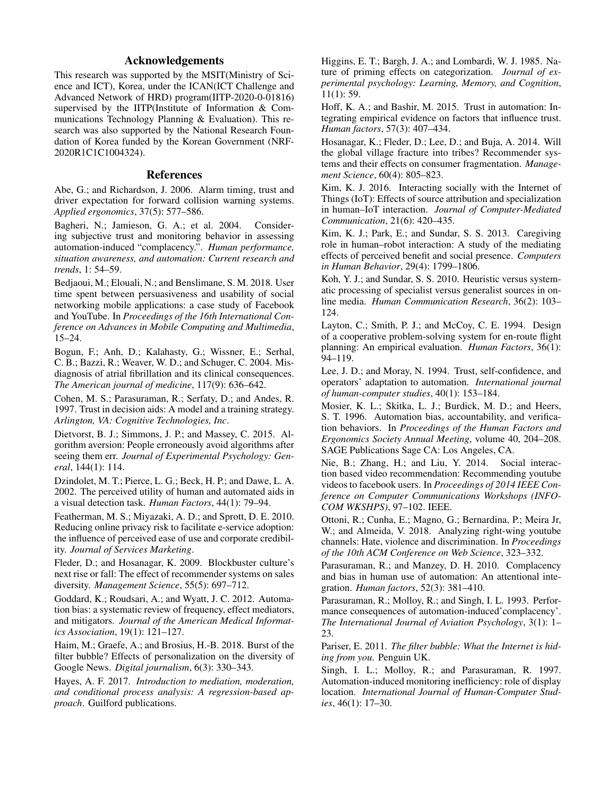# Acknowledgements

This research was supported by the MSIT(Ministry of Science and ICT), Korea, under the ICAN(ICT Challenge and Advanced Network of HRD) program(IITP-2020-0-01816) supervised by the IITP(Institute of Information & Communications Technology Planning & Evaluation). This research was also supported by the National Research Foundation of Korea funded by the Korean Government (NRF-2020R1C1C1004324).

### References

Abe, G.; and Richardson, J. 2006. Alarm timing, trust and driver expectation for forward collision warning systems. *Applied ergonomics*, 37(5): 577–586.

Bagheri, N.; Jamieson, G. A.; et al. 2004. Considering subjective trust and monitoring behavior in assessing automation-induced "complacency.". *Human performance, situation awareness, and automation: Current research and trends*, 1: 54–59.

Bedjaoui, M.; Elouali, N.; and Benslimane, S. M. 2018. User time spent between persuasiveness and usability of social networking mobile applications: a case study of Facebook and YouTube. In *Proceedings of the 16th International Conference on Advances in Mobile Computing and Multimedia*, 15–24.

Bogun, F.; Anh, D.; Kalahasty, G.; Wissner, E.; Serhal, C. B.; Bazzi, R.; Weaver, W. D.; and Schuger, C. 2004. Misdiagnosis of atrial fibrillation and its clinical consequences. *The American journal of medicine*, 117(9): 636–642.

Cohen, M. S.; Parasuraman, R.; Serfaty, D.; and Andes, R. 1997. Trust in decision aids: A model and a training strategy. *Arlington, VA: Cognitive Technologies, Inc*.

Dietvorst, B. J.; Simmons, J. P.; and Massey, C. 2015. Algorithm aversion: People erroneously avoid algorithms after seeing them err. *Journal of Experimental Psychology: General*, 144(1): 114.

Dzindolet, M. T.; Pierce, L. G.; Beck, H. P.; and Dawe, L. A. 2002. The perceived utility of human and automated aids in a visual detection task. *Human Factors*, 44(1): 79–94.

Featherman, M. S.; Miyazaki, A. D.; and Sprott, D. E. 2010. Reducing online privacy risk to facilitate e-service adoption: the influence of perceived ease of use and corporate credibility. *Journal of Services Marketing*.

Fleder, D.; and Hosanagar, K. 2009. Blockbuster culture's next rise or fall: The effect of recommender systems on sales diversity. *Management Science*, 55(5): 697–712.

Goddard, K.; Roudsari, A.; and Wyatt, J. C. 2012. Automation bias: a systematic review of frequency, effect mediators, and mitigators. *Journal of the American Medical Informatics Association*, 19(1): 121–127.

Haim, M.; Graefe, A.; and Brosius, H.-B. 2018. Burst of the filter bubble? Effects of personalization on the diversity of Google News. *Digital journalism*, 6(3): 330–343.

Hayes, A. F. 2017. *Introduction to mediation, moderation, and conditional process analysis: A regression-based approach*. Guilford publications.

Higgins, E. T.; Bargh, J. A.; and Lombardi, W. J. 1985. Nature of priming effects on categorization. *Journal of experimental psychology: Learning, Memory, and Cognition*, 11(1): 59.

Hoff, K. A.; and Bashir, M. 2015. Trust in automation: Integrating empirical evidence on factors that influence trust. *Human factors*, 57(3): 407–434.

Hosanagar, K.; Fleder, D.; Lee, D.; and Buja, A. 2014. Will the global village fracture into tribes? Recommender systems and their effects on consumer fragmentation. *Management Science*, 60(4): 805–823.

Kim, K. J. 2016. Interacting socially with the Internet of Things (IoT): Effects of source attribution and specialization in human–IoT interaction. *Journal of Computer-Mediated Communication*, 21(6): 420–435.

Kim, K. J.; Park, E.; and Sundar, S. S. 2013. Caregiving role in human–robot interaction: A study of the mediating effects of perceived benefit and social presence. *Computers in Human Behavior*, 29(4): 1799–1806.

Koh, Y. J.; and Sundar, S. S. 2010. Heuristic versus systematic processing of specialist versus generalist sources in online media. *Human Communication Research*, 36(2): 103– 124.

Layton, C.; Smith, P. J.; and McCoy, C. E. 1994. Design of a cooperative problem-solving system for en-route flight planning: An empirical evaluation. *Human Factors*, 36(1): 94–119.

Lee, J. D.; and Moray, N. 1994. Trust, self-confidence, and operators' adaptation to automation. *International journal of human-computer studies*, 40(1): 153–184.

Mosier, K. L.; Skitka, L. J.; Burdick, M. D.; and Heers, S. T. 1996. Automation bias, accountability, and verification behaviors. In *Proceedings of the Human Factors and Ergonomics Society Annual Meeting*, volume 40, 204–208. SAGE Publications Sage CA: Los Angeles, CA.

Nie, B.; Zhang, H.; and Liu, Y. 2014. Social interaction based video recommendation: Recommending youtube videos to facebook users. In *Proceedings of 2014 IEEE Conference on Computer Communications Workshops (INFO-COM WKSHPS)*, 97–102. IEEE.

Ottoni, R.; Cunha, E.; Magno, G.; Bernardina, P.; Meira Jr, W.; and Almeida, V. 2018. Analyzing right-wing youtube channels: Hate, violence and discrimination. In *Proceedings of the 10th ACM Conference on Web Science*, 323–332.

Parasuraman, R.; and Manzey, D. H. 2010. Complacency and bias in human use of automation: An attentional integration. *Human factors*, 52(3): 381–410.

Parasuraman, R.; Molloy, R.; and Singh, I. L. 1993. Performance consequences of automation-induced'complacency'. *The International Journal of Aviation Psychology*, 3(1): 1– 23.

Pariser, E. 2011. *The filter bubble: What the Internet is hiding from you*. Penguin UK.

Singh, I. L.; Molloy, R.; and Parasuraman, R. 1997. Automation-induced monitoring inefficiency: role of display location. *International Journal of Human-Computer Studies*, 46(1): 17–30.